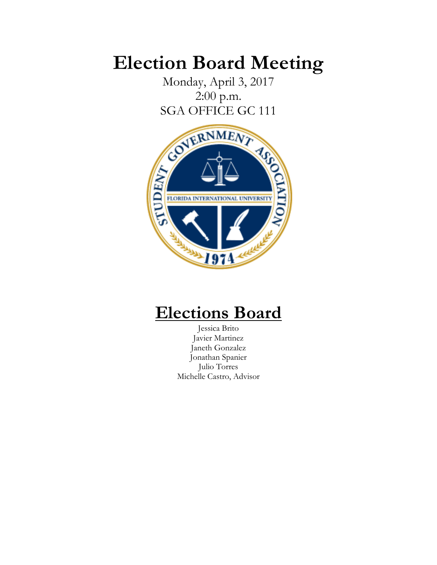# **Election Board Meeting**

Monday, April 3, 2017 2:00 p.m.



## **Elections Board**

Jessica Brito Javier Martinez Janeth Gonzalez Jonathan Spanier Julio Torres Michelle Castro, Advisor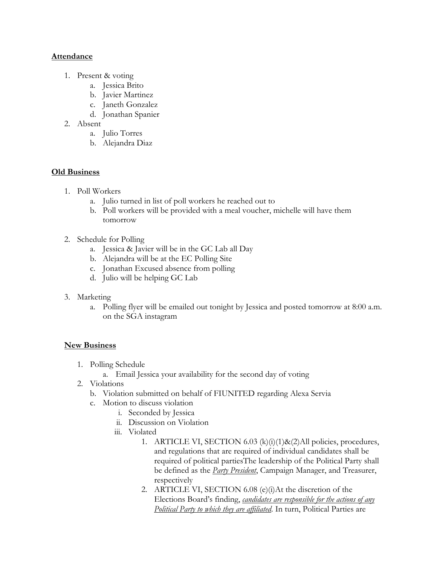### **Attendance**

- 1. Present & voting
	- a. Jessica Brito
	- b. Javier Martinez
	- c. Janeth Gonzalez
	- d. Jonathan Spanier
- 2. Absent
	- a. Julio Torres
	- b. Alejandra Diaz

### **Old Business**

- 1. Poll Workers
	- a. Julio turned in list of poll workers he reached out to
	- b. Poll workers will be provided with a meal voucher, michelle will have them tomorrow
- 2. Schedule for Polling
	- a. Jessica & Javier will be in the GC Lab all Day
	- b. Alejandra will be at the EC Polling Site
	- c. Jonathan Excused absence from polling
	- d. Julio will be helping GC Lab
- 3. Marketing
	- a. Polling flyer will be emailed out tonight by Jessica and posted tomorrow at 8:00 a.m. on the SGA instagram

### **New Business**

- 1. Polling Schedule
	- a. Email Jessica your availability for the second day of voting
- 2. Violations
	- b. Violation submitted on behalf of FIUNITED regarding Alexa Servia
	- c. Motion to discuss violation
		- i. Seconded by Jessica
		- ii. Discussion on Violation
		- iii. Violated
			- 1. ARTICLE VI, SECTION 6.03 (k)(i)(1)&(2)All policies, procedures, and regulations that are required of individual candidates shall be required of political partiesThe leadership of the Political Party shall be defined as the *Party President*, Campaign Manager, and Treasurer, respectively
			- 2. ARTICLE VI, SECTION 6.08 (e)(i)At the discretion of the Elections Board's finding, *candidates are responsible for the actions of any Political Party to which they are affiliated*. In turn, Political Parties are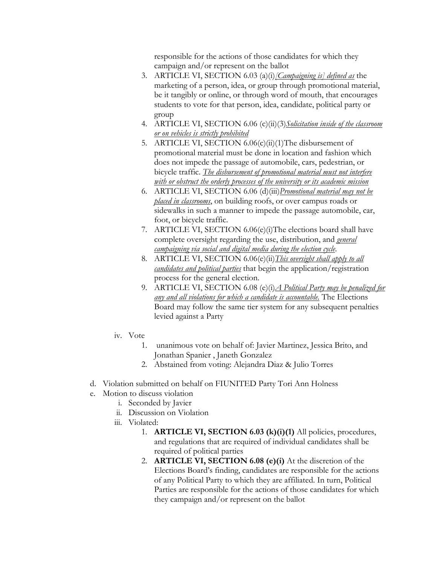responsible for the actions of those candidates for which they campaign and/or represent on the ballot

- 3. ARTICLE VI, SECTION 6.03 (a)(i)*[Campaigning is] defined as* the marketing of a person, idea, or group through promotional material, be it tangibly or online, or through word of mouth, that encourages students to vote for that person, idea, candidate, political party or group
- 4. ARTICLE VI, SECTION 6.06 (c)(ii)(3)*Solicitation inside of the classroom or on vehicles is strictly prohibited*
- 5. ARTICLE VI, SECTION 6.06(c)(ii)(1)The disbursement of promotional material must be done in location and fashion which does not impede the passage of automobile, cars, pedestrian, or bicycle traffic. *The disbursement of promotional material must not interfere with or obstruct the orderly processes of the university or its academic mission*
- 6. ARTICLE VI, SECTION 6.06 (d)(iii)*Promotional material may not be placed in classrooms*, on building roofs, or over campus roads or sidewalks in such a manner to impede the passage automobile, car, foot, or bicycle traffic.
- 7. ARTICLE VI, SECTION 6.06(e)(i)The elections board shall have complete oversight regarding the use, distribution, and *general campaigning via social and digital media during the election cycle*.
- 8. ARTICLE VI, SECTION 6.06(e)(ii)*This oversight shall apply to all candidates and political parties* that begin the application/registration process for the general election.
- 9. ARTICLE VI, SECTION 6.08 (e)(i)*A Political Party may be penalized for any and all violations for which a candidate is accountable.* The Elections Board may follow the same tier system for any subsequent penalties levied against a Party
- iv. Vote
	- 1. unanimous vote on behalf of: Javier Martinez, Jessica Brito, and Jonathan Spanier , Janeth Gonzalez
	- 2. Abstained from voting: Alejandra Diaz & Julio Torres
- d. Violation submitted on behalf on FIUNITED Party Tori Ann Holness
- e. Motion to discuss violation
	- i. Seconded by Javier
	- ii. Discussion on Violation
	- iii. Violated:
		- 1. **ARTICLE VI, SECTION 6.03 (k)(i)(1)** All policies, procedures, and regulations that are required of individual candidates shall be required of political parties
		- 2. **ARTICLE VI, SECTION 6.08 (e)(i)** At the discretion of the Elections Board's finding, candidates are responsible for the actions of any Political Party to which they are affiliated. In turn, Political Parties are responsible for the actions of those candidates for which they campaign and/or represent on the ballot